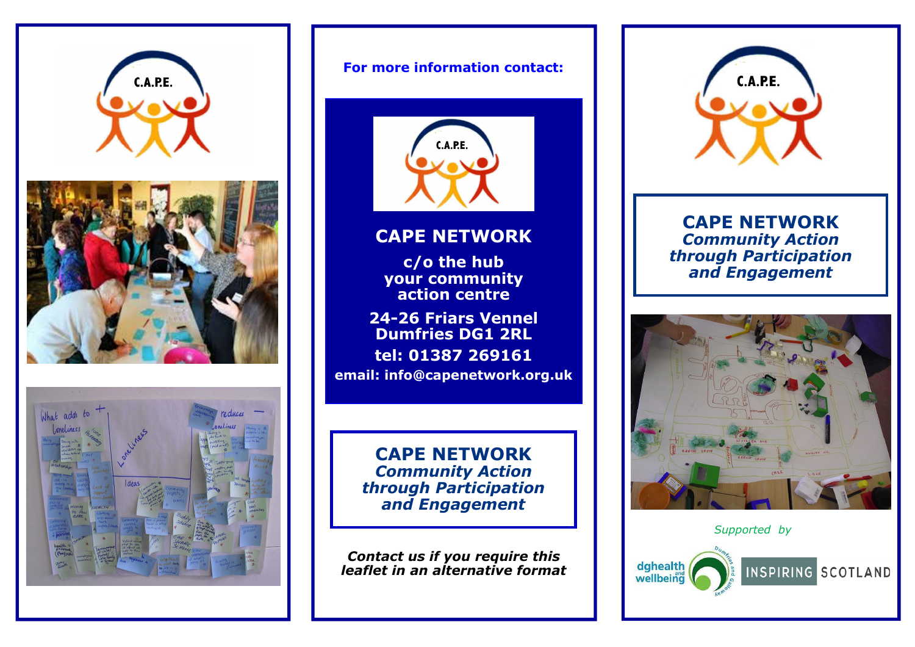





#### For more information contact:



### CAPE NETWORK

c/o the hub your community action centre

24-26 Friars Vennel Dumfries DG1 2RL tel: 01387 269161 email: info@capenetwork.org.uk

> CAPE NETWORK Community Action through Participation and Engagement

Contact us if you require this leaflet in an alternative format



CAPE NETWORK Community Action through Participation and Engagement



Supported by